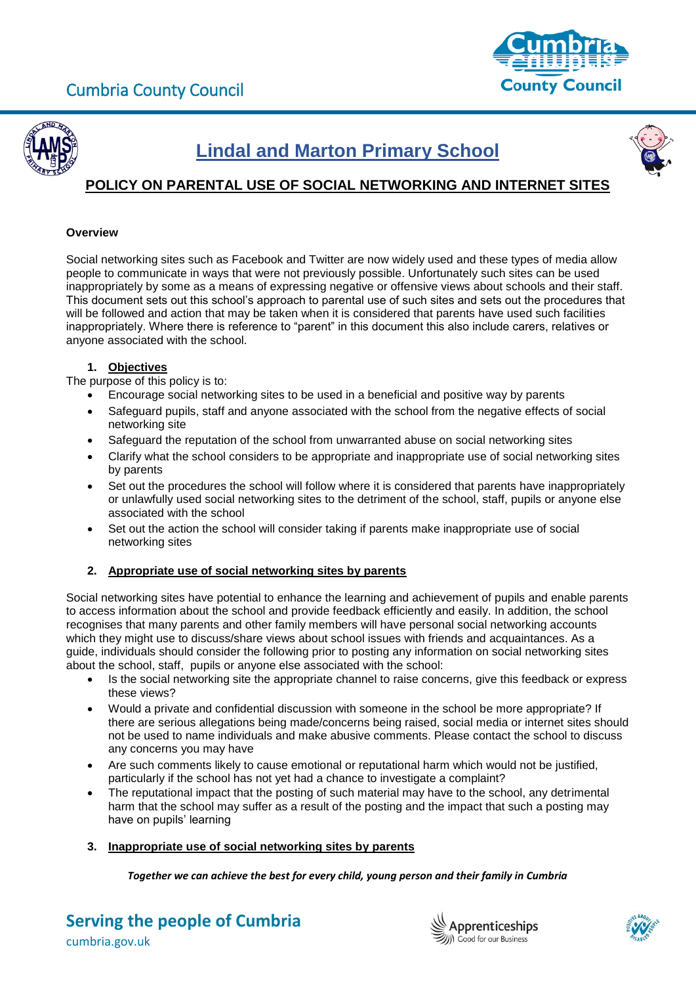



# **Lindal and Marton Primary School**



# **POLICY ON PARENTAL USE OF SOCIAL NETWORKING AND INTERNET SITES**

#### **Overview**

Social networking sites such as Facebook and Twitter are now widely used and these types of media allow people to communicate in ways that were not previously possible. Unfortunately such sites can be used inappropriately by some as a means of expressing negative or offensive views about schools and their staff. This document sets out this school's approach to parental use of such sites and sets out the procedures that will be followed and action that may be taken when it is considered that parents have used such facilities inappropriately. Where there is reference to "parent" in this document this also include carers, relatives or anyone associated with the school.

## **1. Objectives**

The purpose of this policy is to:

- Encourage social networking sites to be used in a beneficial and positive way by parents
- Safeguard pupils, staff and anyone associated with the school from the negative effects of social networking site
- Safeguard the reputation of the school from unwarranted abuse on social networking sites
- Clarify what the school considers to be appropriate and inappropriate use of social networking sites by parents
- Set out the procedures the school will follow where it is considered that parents have inappropriately or unlawfully used social networking sites to the detriment of the school, staff, pupils or anyone else associated with the school
- Set out the action the school will consider taking if parents make inappropriate use of social networking sites

## **2. Appropriate use of social networking sites by parents**

Social networking sites have potential to enhance the learning and achievement of pupils and enable parents to access information about the school and provide feedback efficiently and easily. In addition, the school recognises that many parents and other family members will have personal social networking accounts which they might use to discuss/share views about school issues with friends and acquaintances. As a guide, individuals should consider the following prior to posting any information on social networking sites about the school, staff, pupils or anyone else associated with the school:

- Is the social networking site the appropriate channel to raise concerns, give this feedback or express these views?
- Would a private and confidential discussion with someone in the school be more appropriate? If there are serious allegations being made/concerns being raised, social media or internet sites should not be used to name individuals and make abusive comments. Please contact the school to discuss any concerns you may have
- Are such comments likely to cause emotional or reputational harm which would not be justified, particularly if the school has not yet had a chance to investigate a complaint?
- The reputational impact that the posting of such material may have to the school, any detrimental harm that the school may suffer as a result of the posting and the impact that such a posting may have on pupils' learning
- **3. Inappropriate use of social networking sites by parents**

*Together we can achieve the best for every child, young person and their family in Cumbria*